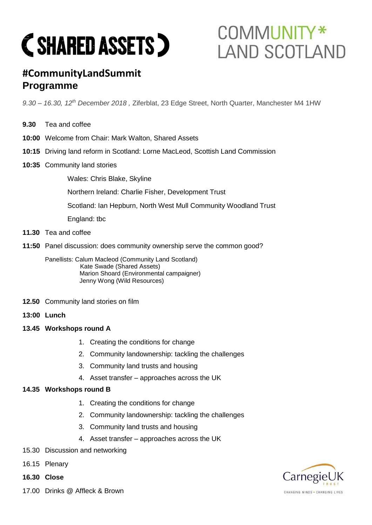# **C SHARED ASSETS )**

## COMMUNITY\* **LAND SCOTLAND**

### **#CommunityLandSummit Programme**

*9.30 – 16.30, 12th December 2018 ,* Ziferblat, 23 Edge Street, North Quarter, Manchester M4 1HW

- **9.30** Tea and coffee
- **10:00** Welcome from Chair: Mark Walton, Shared Assets
- **10:15** Driving land reform in Scotland: Lorne MacLeod, Scottish Land Commission
- **10:35** Community land stories

Wales: Chris Blake, Skyline

Northern Ireland: Charlie Fisher, Development Trust

Scotland: Ian Hepburn, North West Mull Community Woodland Trust

England: tbc

- **11.30** Tea and coffee
- **11:50** Panel discussion: does community ownership serve the common good?

Panellists: Calum Macleod (Community Land Scotland) Kate Swade (Shared Assets) Marion Shoard (Environmental campaigner) Jenny Wong (Wild Resources)

- **12.50** Community land stories on film
- **13:00 Lunch**
- **13.45 Workshops round A**
	- 1. Creating the conditions for change
	- 2. Community landownership: tackling the challenges
	- 3. Community land trusts and housing
	- 4. Asset transfer approaches across the UK

#### **14.35 Workshops round B**

- 1. Creating the conditions for change
- 2. Community landownership: tackling the challenges
- 3. Community land trusts and housing
- 4. Asset transfer approaches across the UK
- 15.30 Discussion and networking
- 16.15 Plenary
- **16.30 Close**
- 17.00 Drinks @ Affleck & Brown